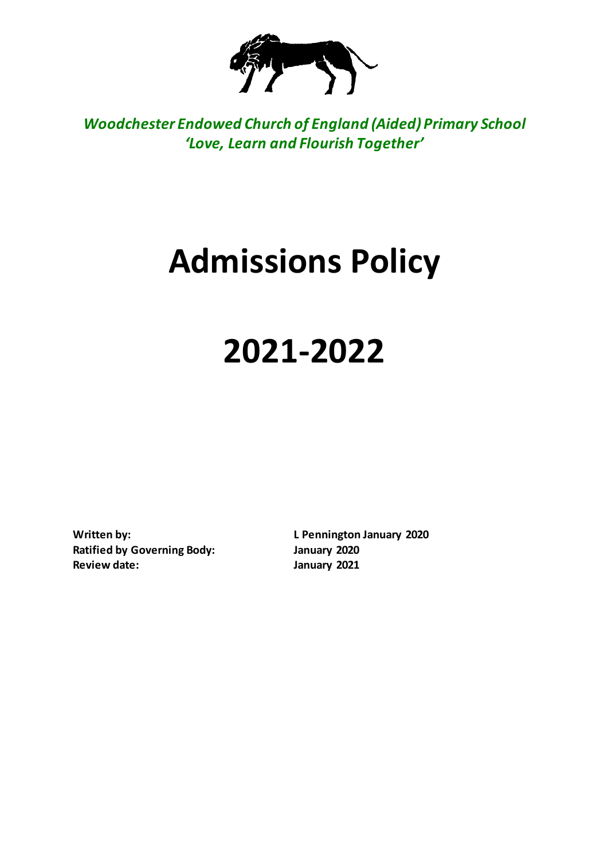

*Woodchester Endowed Church of England (Aided) Primary School 'Love, Learn and Flourish Together'*

# **Admissions Policy**

# **2021-2022**

**Ratified by Governing Body: January 2020 Review date: January 2021**

**Written by: L Pennington January 2020**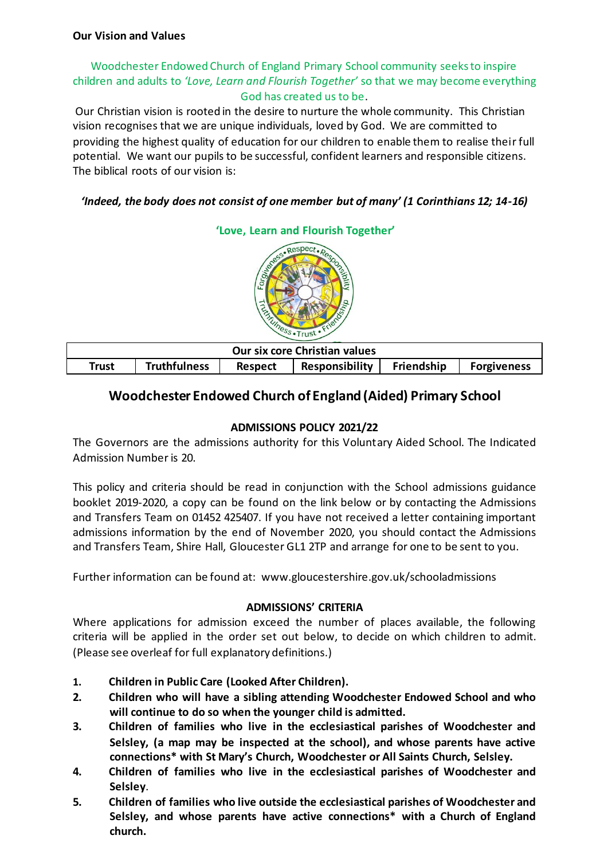# Woodchester Endowed Church of England Primary School community seeks to inspire children and adults to *'Love, Learn and Flourish Together'* so that we may become everything God has created us to be.

Our Christian vision is rooted in the desire to nurture the whole community. This Christian vision recognises that we are unique individuals, loved by God. We are committed to providing the highest quality of education for our children to enable them to realise their full potential. We want our pupils to be successful, confident learners and responsible citizens. The biblical roots of our vision is:

# *'Indeed, the body does not consist of one member but of many' (1 Corinthians 12; 14-16)*



| Our six core Christian values |                     |         |                |            |                    |  |  |
|-------------------------------|---------------------|---------|----------------|------------|--------------------|--|--|
| Trust                         | <b>Truthfulness</b> | Respect | Responsibility | Friendship | <b>Forgiveness</b> |  |  |

# **Woodchester Endowed Church of England (Aided) Primary School**

### **ADMISSIONS POLICY 2021/22**

The Governors are the admissions authority for this Voluntary Aided School. The Indicated Admission Number is 20.

This policy and criteria should be read in conjunction with the School admissions guidance booklet 2019-2020, a copy can be found on the link below or by contacting the Admissions and Transfers Team on 01452 425407. If you have not received a letter containing important admissions information by the end of November 2020, you should contact the Admissions and Transfers Team, Shire Hall, Gloucester GL1 2TP and arrange for one to be sent to you.

Further information can be found at: www.gloucestershire.gov.uk/schooladmissions

#### **ADMISSIONS' CRITERIA**

Where applications for admission exceed the number of places available, the following criteria will be applied in the order set out below, to decide on which children to admit. (Please see overleaf for full explanatory definitions.)

- **1. Children in Public Care (Looked After Children).**
- **2. Children who will have a sibling attending Woodchester Endowed School and who will continue to do so when the younger child is admitted.**
- **3. Children of families who live in the ecclesiastical parishes of Woodchester and Selsley, (a map may be inspected at the school), and whose parents have active connections\* with St Mary's Church, Woodchester or All Saints Church, Selsley.**
- **4. Children of families who live in the ecclesiastical parishes of Woodchester and Selsley**.
- **5. Children of families who live outside the ecclesiastical parishes of Woodchester and Selsley, and whose parents have active connections\* with a Church of England church.**

# **'Love, Learn and Flourish Together'**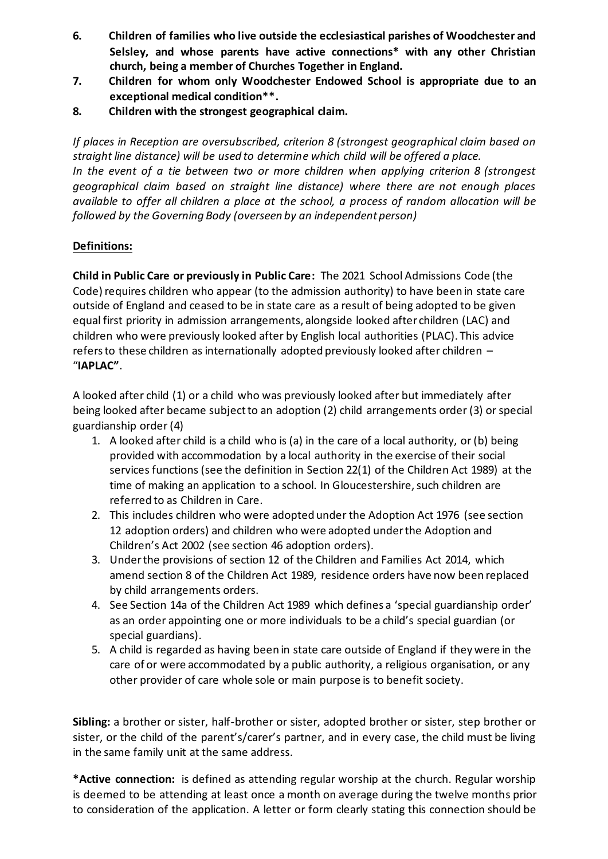- **6. Children of families who live outside the ecclesiastical parishes of Woodchester and Selsley, and whose parents have active connections\* with any other Christian church, being a member of Churches Together in England.**
- **7. Children for whom only Woodchester Endowed School is appropriate due to an exceptional medical condition\*\*.**
- **8. Children with the strongest geographical claim.**

*If places in Reception are oversubscribed, criterion 8 (strongest geographical claim based on straight line distance) will be used to determine which child will be offered a place.* In the event of a tie between two or more children when applying criterion 8 (strongest *geographical claim based on straight line distance) where there are not enough places available to offer all children a place at the school, a process of random allocation will be followed by the Governing Body (overseen by an independent person)*

# **Definitions:**

**Child in Public Care or previously in Public Care:** The 2021 School Admissions Code (the Code) requires children who appear (to the admission authority) to have been in state care outside of England and ceased to be in state care as a result of being adopted to be given equal first priority in admission arrangements, alongside looked after children (LAC) and children who were previously looked after by English local authorities (PLAC). This advice refers to these children as internationally adopted previously looked after children – "**IAPLAC"**.

A looked after child (1) or a child who was previously looked after but immediately after being looked after became subject to an adoption (2) child arrangements order (3) or special guardianship order (4)

- 1. A looked after child is a child who is (a) in the care of a local authority, or (b) being provided with accommodation by a local authority in the exercise of their social services functions (see the definition in Section 22(1) of the Children Act 1989) at the time of making an application to a school. In Gloucestershire, such children are referred to as Children in Care.
- 2. This includes children who were adopted under the Adoption Act 1976 (see section 12 adoption orders) and children who were adopted under the Adoption and Children's Act 2002 (see section 46 adoption orders).
- 3. Under the provisions of section 12 of the Children and Families Act 2014, which amend section 8 of the Children Act 1989, residence orders have now been replaced by child arrangements orders.
- 4. See Section 14a of the Children Act 1989 which defines a 'special guardianship order' as an order appointing one or more individuals to be a child's special guardian (or special guardians).
- 5. A child is regarded as having been in state care outside of England if they were in the care of or were accommodated by a public authority, a religious organisation, or any other provider of care whole sole or main purpose is to benefit society.

**Sibling:** a brother or sister, half-brother or sister, adopted brother or sister, step brother or sister, or the child of the parent's/carer's partner, and in every case, the child must be living in the same family unit at the same address.

**\*Active connection:** is defined as attending regular worship at the church. Regular worship is deemed to be attending at least once a month on average during the twelve months prior to consideration of the application. A letter or form clearly stating this connection should be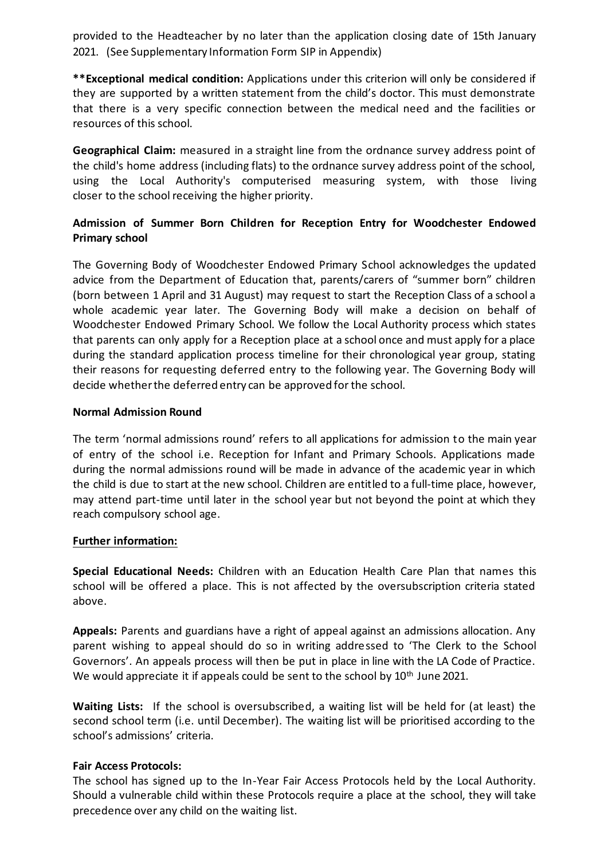provided to the Headteacher by no later than the application closing date of 15th January 2021. (See Supplementary Information Form SIP in Appendix)

**\*\*Exceptional medical condition:** Applications under this criterion will only be considered if they are supported by a written statement from the child's doctor. This must demonstrate that there is a very specific connection between the medical need and the facilities or resources of this school.

**Geographical Claim:** measured in a straight line from the ordnance survey address point of the child's home address (including flats) to the ordnance survey address point of the school, using the Local Authority's computerised measuring system, with those living closer to the school receiving the higher priority.

# **Admission of Summer Born Children for Reception Entry for Woodchester Endowed Primary school**

The Governing Body of Woodchester Endowed Primary School acknowledges the updated advice from the Department of Education that, parents/carers of "summer born" children (born between 1 April and 31 August) may request to start the Reception Class of a school a whole academic year later. The Governing Body will make a decision on behalf of Woodchester Endowed Primary School. We follow the Local Authority process which states that parents can only apply for a Reception place at a school once and must apply for a place during the standard application process timeline for their chronological year group, stating their reasons for requesting deferred entry to the following year. The Governing Body will decide whether the deferred entry can be approved for the school.

#### **Normal Admission Round**

The term 'normal admissions round' refers to all applications for admission to the main year of entry of the school i.e. Reception for Infant and Primary Schools. Applications made during the normal admissions round will be made in advance of the academic year in which the child is due to start at the new school. Children are entitled to a full-time place, however, may attend part-time until later in the school year but not beyond the point at which they reach compulsory school age.

# **Further information:**

**Special Educational Needs:** Children with an Education Health Care Plan that names this school will be offered a place. This is not affected by the oversubscription criteria stated above.

**Appeals:** Parents and guardians have a right of appeal against an admissions allocation. Any parent wishing to appeal should do so in writing addressed to 'The Clerk to the School Governors'. An appeals process will then be put in place in line with the LA Code of Practice. We would appreciate it if appeals could be sent to the school by 10<sup>th</sup> June 2021.

**Waiting Lists:** If the school is oversubscribed, a waiting list will be held for (at least) the second school term (i.e. until December). The waiting list will be prioritised according to the school's admissions' criteria.

# **Fair Access Protocols:**

The school has signed up to the In-Year Fair Access Protocols held by the Local Authority. Should a vulnerable child within these Protocols require a place at the school, they will take precedence over any child on the waiting list.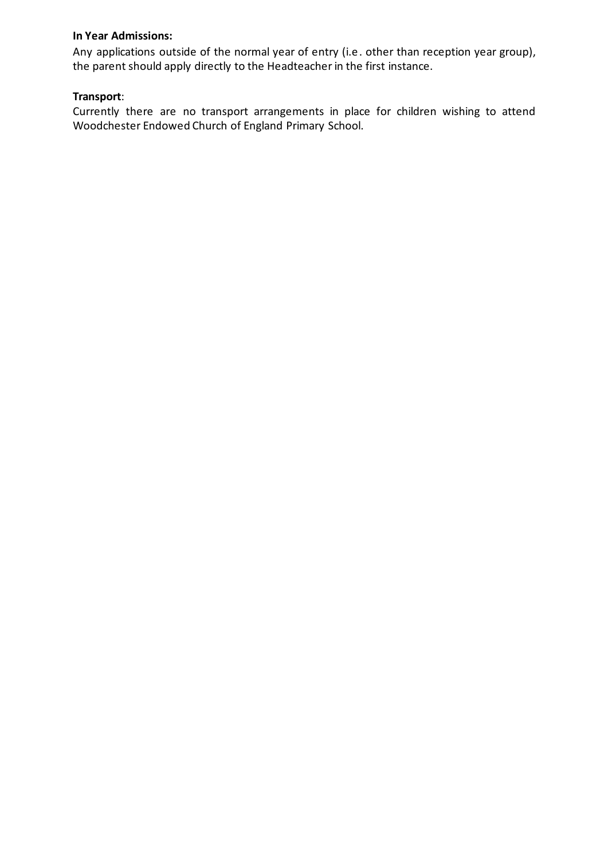#### **In Year Admissions:**

Any applications outside of the normal year of entry (i.e. other than reception year group), the parent should apply directly to the Headteacher in the first instance.

# **Transport**:

Currently there are no transport arrangements in place for children wishing to attend Woodchester Endowed Church of England Primary School.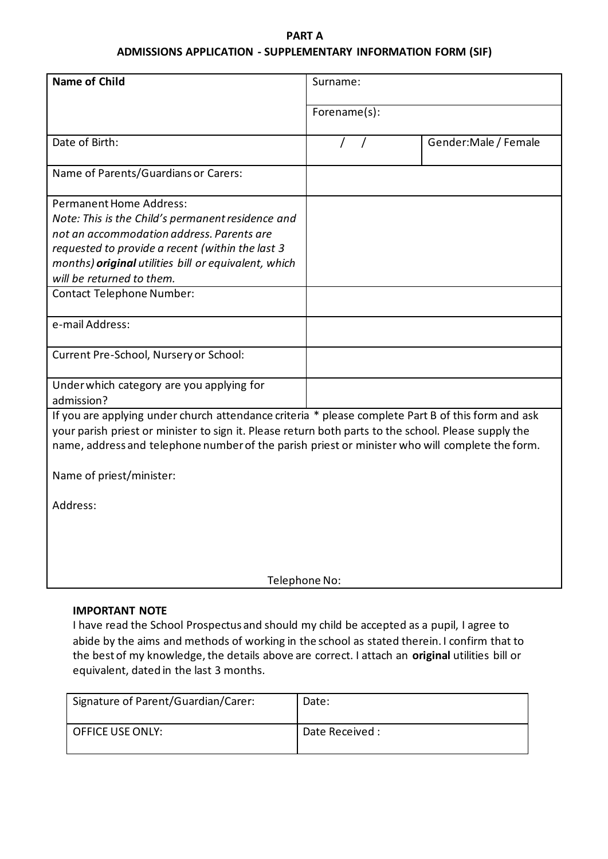# **PART A ADMISSIONS APPLICATION - SUPPLEMENTARY INFORMATION FORM (SIF)**

| <b>Name of Child</b>                                                                                                                                                                                                                                                                                          | Surname:     |                       |  |  |
|---------------------------------------------------------------------------------------------------------------------------------------------------------------------------------------------------------------------------------------------------------------------------------------------------------------|--------------|-----------------------|--|--|
|                                                                                                                                                                                                                                                                                                               | Forename(s): |                       |  |  |
| Date of Birth:                                                                                                                                                                                                                                                                                                |              | Gender: Male / Female |  |  |
| Name of Parents/Guardians or Carers:                                                                                                                                                                                                                                                                          |              |                       |  |  |
| <b>Permanent Home Address:</b><br>Note: This is the Child's permanent residence and<br>not an accommodation address. Parents are<br>requested to provide a recent (within the last 3<br>months) original utilities bill or equivalent, which<br>will be returned to them.                                     |              |                       |  |  |
| <b>Contact Telephone Number:</b>                                                                                                                                                                                                                                                                              |              |                       |  |  |
| e-mail Address:                                                                                                                                                                                                                                                                                               |              |                       |  |  |
| Current Pre-School, Nursery or School:                                                                                                                                                                                                                                                                        |              |                       |  |  |
| Under which category are you applying for<br>admission?                                                                                                                                                                                                                                                       |              |                       |  |  |
| If you are applying under church attendance criteria * please complete Part B of this form and ask<br>your parish priest or minister to sign it. Please return both parts to the school. Please supply the<br>name, address and telephone number of the parish priest or minister who will complete the form. |              |                       |  |  |
| Name of priest/minister:                                                                                                                                                                                                                                                                                      |              |                       |  |  |
| Address:                                                                                                                                                                                                                                                                                                      |              |                       |  |  |
| Telephone No:                                                                                                                                                                                                                                                                                                 |              |                       |  |  |

### **IMPORTANT NOTE**

I have read the School Prospectus and should my child be accepted as a pupil, I agree to abide by the aims and methods of working in the school as stated therein. I confirm that to the best of my knowledge, the details above are correct. I attach an **original** utilities bill or equivalent, dated in the last 3 months.

| Signature of Parent/Guardian/Carer: | Date:           |
|-------------------------------------|-----------------|
| <b>OFFICE USE ONLY:</b>             | Date Received : |